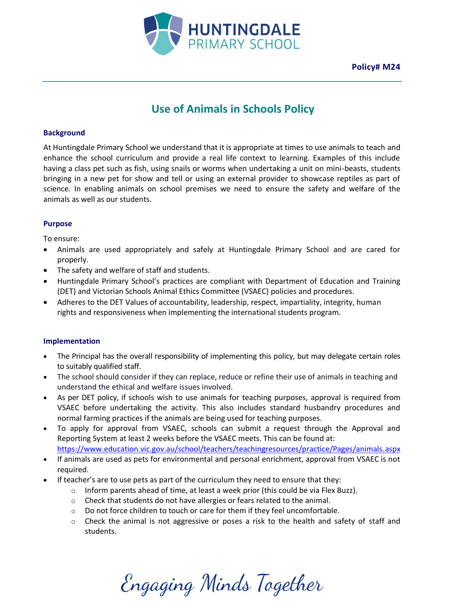

**Policy# M24**

# **Use of Animals in Schools Policy**

### **Background**

At Huntingdale Primary School we understand that it is appropriate at times to use animals to teach and enhance the school curriculum and provide a real life context to learning. Examples of this include having a class pet such as fish, using snails or worms when undertaking a unit on mini-beasts, students bringing in a new pet for show and tell or using an external provider to showcase reptiles as part of science. In enabling animals on school premises we need to ensure the safety and welfare of the animals as well as our students.

## **Purpose**

To ensure:

- Animals are used appropriately and safely at Huntingdale Primary School and are cared for properly.
- The safety and welfare of staff and students.
- Huntingdale Primary School's practices are compliant with Department of Education and Training (DET) and Victorian Schools Animal Ethics Committee (VSAEC) policies and procedures.
- Adheres to the DET Values of accountability, leadership, respect, impartiality, integrity, human rights and responsiveness when implementing the international students program.

#### **Implementation**

- The Principal has the overall responsibility of implementing this policy, but may delegate certain roles to suitably qualified staff.
- The school should consider if they can replace, reduce or refine their use of animals in teaching and understand the ethical and welfare issues involved.
- As per DET policy, if schools wish to use animals for teaching purposes, approval is required from VSAEC before undertaking the activity. This also includes standard husbandry procedures and normal farming practices if the animals are being used for teaching purposes.
- To apply for approval from VSAEC, schools can submit a request through the Approval and Reporting System at least 2 weeks before the VSAEC meets. This can be found at: <https://www.education.vic.gov.au/school/teachers/teachingresources/practice/Pages/animals.aspx>
- If animals are used as pets for environmental and personal enrichment, approval from VSAEC is not required.
- If teacher's are to use pets as part of the curriculum they need to ensure that they:
	- o Inform parents ahead of time, at least a week prior (this could be via Flex Buzz).
	- o Check that students do not have allergies or fears related to the animal.
	- o Do not force children to touch or care for them if they feel uncomfortable.
	- $\circ$  Check the animal is not aggressive or poses a risk to the health and safety of staff and students.

Engaging Minds Together